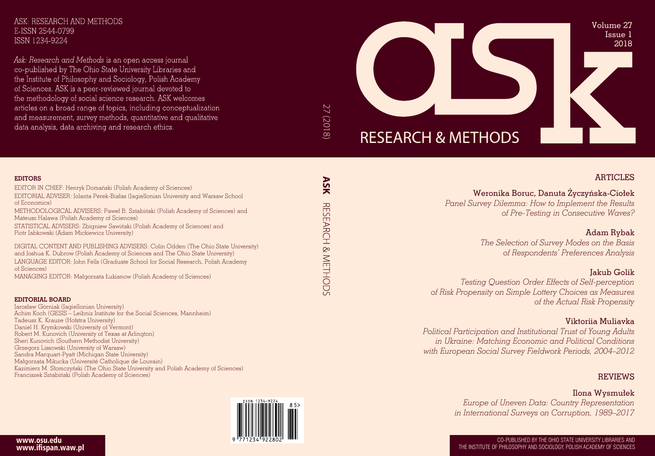

### ARTICLES

Weronika Boruc, Danuta Życzy ńska-Ciołek *Panel Survey Dilemma: How to Implement the Results of Pre-Testing in Consecutive Waves?*

> Adam Rybak *The Selection of Survey Modes on the Basis of Respondents' Preferences Analysis*

Jakub Golik *Testing Question Order Effects of Self-perception of Risk Propensity on Simple Lottery Choices as Measures of the Actual Risk Propensity*

### Viktoriia Muliavka

*Political Participation and Institutional Trust of Young Adults in Ukraine: Matching Economic and Political Conditions with European Social Survey Fieldwork Periods, 2004–2012*

REVIEWS

Ilona Wysmułek *Europe of Uneven Data: Country Representation in International Surveys on Corruption, 1989–2017*

CO-PUBLISHED BY THE OHIO STATE UNIVERSITY LIBRARIES AND THE INSTITUTE OF PHILOSOPHY AND SOCIOLOGY, POLISH ACADEMY OF SCIENCES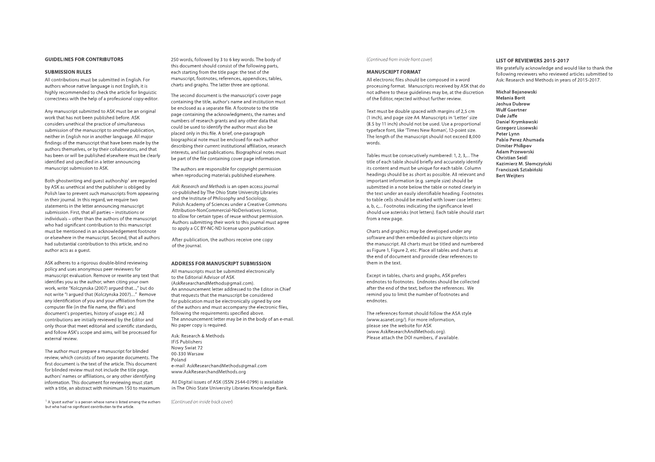#### **GUIDELINES FOR CONTRIBUTORS**

#### **SUBMISSION RULES**

All contributions must be submitted in English. For authors whose native language is not English, it is highly recommended to check the article for linguistic correctness with the help of a professional copy-editor.

Any manuscript submitted to ASK must be an original work that has not been published before. ASK considers unethical the practice of simultaneous submission of the manuscript to another publication, neither in English nor in another language. All major findings of the manuscript that have been made by the authors themselves, or by their collaborators, and that has been or will be published elsewhere must be clearly identified and specified in a letter announcing manuscript submission to ASK.

Both ghostwriting and guest authorship' are regarded by ASK as unethical and the publisher is obliged by Polish law to prevent such manuscripts from appearing in their journal. In this regard, we require two statements in the letter announcing manuscript submission. First, that all parties - institutions or individuals - other than the authors of the manuscript who had significant contribution to this manuscript must be mentioned in an acknowledgement footnote or elsewhere in the manuscript. Second, that all authors had substantial contribution to this article, and no author acts as a guest.

ASK adheres to a rigorous double-blind reviewing policy and uses anonymous peer reviewers for manuscript evaluation. Remove or rewrite any text that identifies you as the author; when citing your own work, write "Kolczynska (2007) argued that...," but do not write "I argued that (Kolczynska 2007) .... " Remove any identification of you and your affiliation from the computer file (in the file name, the file's and document's properties, history of usage etc.). All contributions are initially reviewed by the Editor and only those that meet editorial and scientific standards, and follow ASK's scope and aims, will be processed for external review.

The author must prepare a manuscript for blinded review, which consists of two separate documents. The first document is the text of the article. This document for blinded review must not include the title page, authors' names or affiliations, or any other identifying information. This document for reviewing must start with a title, an abstract with minimum 150 to maximum

<sup>1</sup>**A 'guest author' is a person whose name is listed among the authors but who had no significant contribution to the article.** 

250 words, followed by 3 to 6 key words. The body of this document should consist of the following parts, each starting from the title page: the text of the manuscript, footnotes, references, appendices, tables, charts and graphs. The latter three are optional.

The second document is the manuscript's cover page containing the title, author's name and institution must be enclosed as a separate file. A footnote to the title page containing the acknowledgments, the names and numbers of research grants and any other data that could be used to identify the author must also be placed only in this file. A brief, one-paragraph biographical note must be enclosed for each author describing their current institutional affiliation, research interests, and last publications. Biographical notes must be part of the file containing cover page information.

The authors are responsible for copyright permission when reproducing materials published elsewhere.

*Ask: Research and Methods* is an open access journal co-published by The Ohio State University Libraries and the Institute of Philosophy and Sociology, Polish Academy of Sciences under a Creative Commons Attribution-NonCommercial-NoDerivatives license, to allow for certain types of reuse without permission. Authors submitting their work to this journal must agree to apply a CC BY-NC-ND license upon publication.

After publication, the authors receive one copy of the journal.

#### **ADDRESS FOR MANUSCRIPT SUBMISSION**

All manuscripts must be submitted electronically to the Editorial Advisor of ASK ([AskResearchandMethods@gmail.com\).](mailto:AskResearchandMethods@gmail.com) An announcement letter addressed to the Editor in Chief that requests that the manuscript be considered for publication must be electronically signed by one of the authors and must accompany the electronic files, following the requirements specified above. The announcement letter may be in the body of an e-mail. No paper copy is required.

Ask: Research & Methods IFiS Publishers Nowy Swiat 72 00-330 Warsaw Poland e-mail: [AskResearchandMethods@gmail.com](mailto:AskResearchandMethods@gmail.com)  [www.AskResearchandMethods.org](https://www.askresearchandmethods.org)

All Digital issues of ASK (ISSN 2544-0799) is available in The Ohio State University Libraries Knowledge Bank.

(Continued on inside back cover)